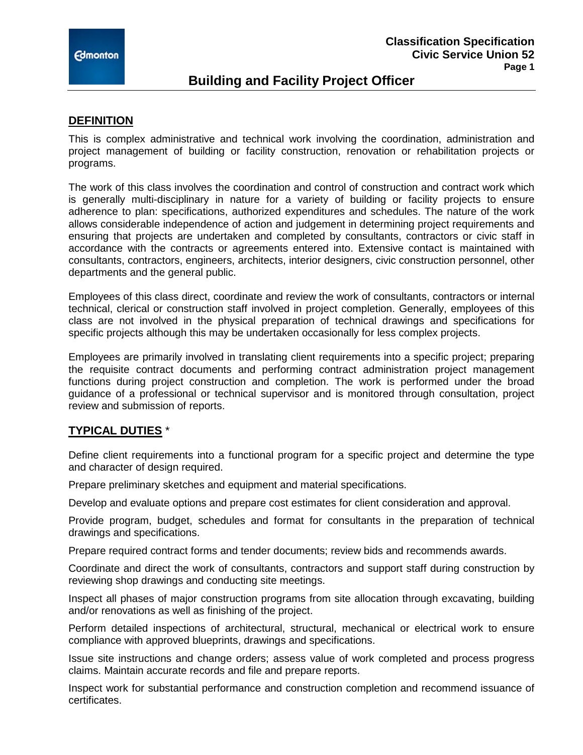

# **Building and Facility Project Officer**

#### **DEFINITION**

This is complex administrative and technical work involving the coordination, administration and project management of building or facility construction, renovation or rehabilitation projects or programs.

The work of this class involves the coordination and control of construction and contract work which is generally multi-disciplinary in nature for a variety of building or facility projects to ensure adherence to plan: specifications, authorized expenditures and schedules. The nature of the work allows considerable independence of action and judgement in determining project requirements and ensuring that projects are undertaken and completed by consultants, contractors or civic staff in accordance with the contracts or agreements entered into. Extensive contact is maintained with consultants, contractors, engineers, architects, interior designers, civic construction personnel, other departments and the general public.

Employees of this class direct, coordinate and review the work of consultants, contractors or internal technical, clerical or construction staff involved in project completion. Generally, employees of this class are not involved in the physical preparation of technical drawings and specifications for specific projects although this may be undertaken occasionally for less complex projects.

Employees are primarily involved in translating client requirements into a specific project; preparing the requisite contract documents and performing contract administration project management functions during project construction and completion. The work is performed under the broad guidance of a professional or technical supervisor and is monitored through consultation, project review and submission of reports.

### **TYPICAL DUTIES** \*

Define client requirements into a functional program for a specific project and determine the type and character of design required.

Prepare preliminary sketches and equipment and material specifications.

Develop and evaluate options and prepare cost estimates for client consideration and approval.

Provide program, budget, schedules and format for consultants in the preparation of technical drawings and specifications.

Prepare required contract forms and tender documents; review bids and recommends awards.

Coordinate and direct the work of consultants, contractors and support staff during construction by reviewing shop drawings and conducting site meetings.

Inspect all phases of major construction programs from site allocation through excavating, building and/or renovations as well as finishing of the project.

Perform detailed inspections of architectural, structural, mechanical or electrical work to ensure compliance with approved blueprints, drawings and specifications.

Issue site instructions and change orders; assess value of work completed and process progress claims. Maintain accurate records and file and prepare reports.

Inspect work for substantial performance and construction completion and recommend issuance of certificates.